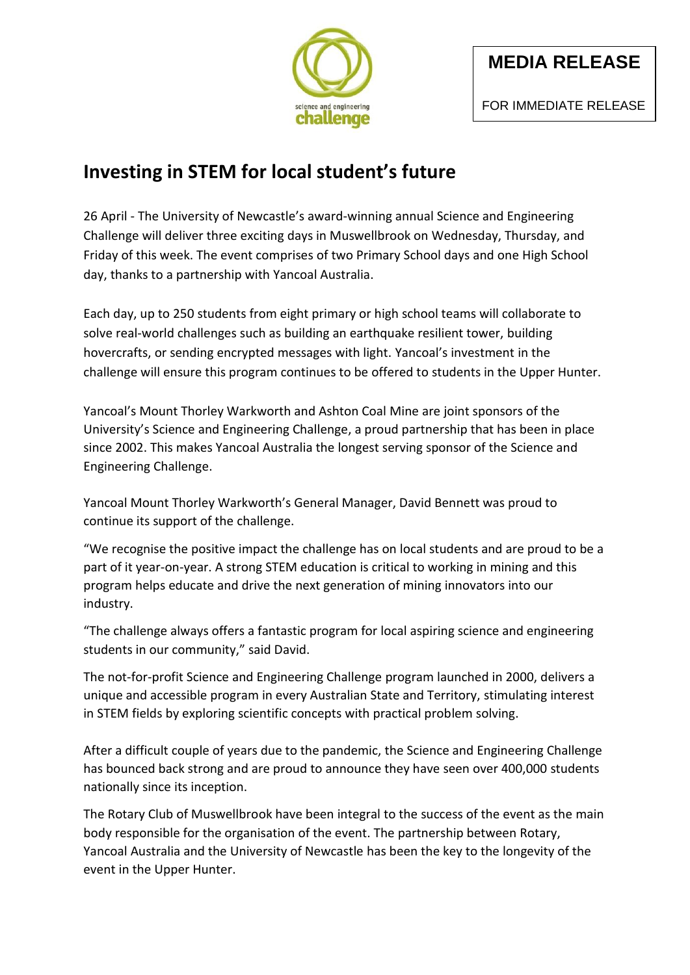

## **Investing in STEM for local student's future**

26 April - The University of Newcastle's award-winning annual Science and Engineering Challenge will deliver three exciting days in Muswellbrook on Wednesday, Thursday, and Friday of this week. The event comprises of two Primary School days and one High School day, thanks to a partnership with Yancoal Australia.

Each day, up to 250 students from eight primary or high school teams will collaborate to solve real-world challenges such as building an earthquake resilient tower, building hovercrafts, or sending encrypted messages with light. Yancoal's investment in the challenge will ensure this program continues to be offered to students in the Upper Hunter.

Yancoal's Mount Thorley Warkworth and Ashton Coal Mine are joint sponsors of the University's Science and Engineering Challenge, a proud partnership that has been in place since 2002. This makes Yancoal Australia the longest serving sponsor of the Science and Engineering Challenge.

Yancoal Mount Thorley Warkworth's General Manager, David Bennett was proud to continue its support of the challenge.

"We recognise the positive impact the challenge has on local students and are proud to be a part of it year-on-year. A strong STEM education is critical to working in mining and this program helps educate and drive the next generation of mining innovators into our industry.

"The challenge always offers a fantastic program for local aspiring science and engineering students in our community," said David.

The not-for-profit Science and Engineering Challenge program launched in 2000, delivers a unique and accessible program in every Australian State and Territory, stimulating interest in STEM fields by exploring scientific concepts with practical problem solving.

After a difficult couple of years due to the pandemic, the Science and Engineering Challenge has bounced back strong and are proud to announce they have seen over 400,000 students nationally since its inception.

The Rotary Club of Muswellbrook have been integral to the success of the event as the main body responsible for the organisation of the event. The partnership between Rotary, Yancoal Australia and the University of Newcastle has been the key to the longevity of the event in the Upper Hunter.